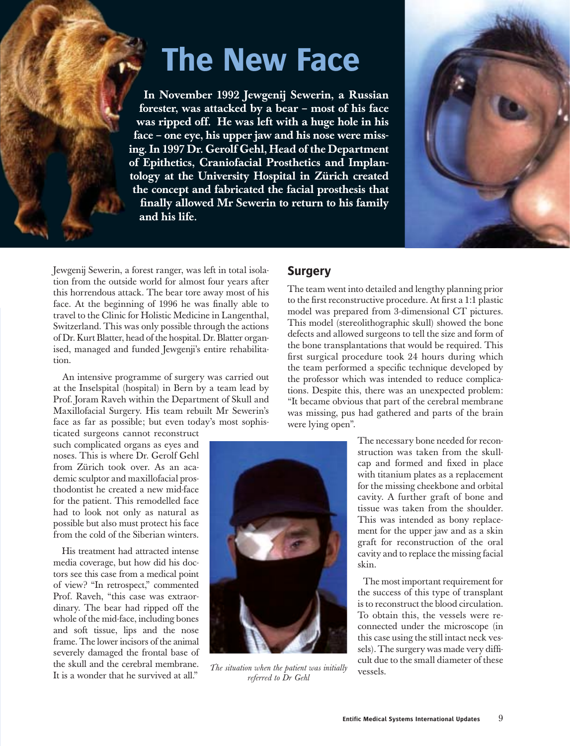# **The New Face**

**In November 1992 Jewgenij Sewerin, a Russian forester, was attacked by a bear – most of his face was ripped off. He was left with a huge hole in his face – one eye, his upper jaw and his nose were missing. In 1997 Dr. Gerolf Gehl, Head of the Department of Epithetics, Craniofacial Prosthetics and Implantology at the University Hospital in Zürich created the concept and fabricated the facial prosthesis that finally allowed Mr Sewerin to return to his family and his life.**



Jewgenij Sewerin, a forest ranger, was left in total isolation from the outside world for almost four years after this horrendous attack. The bear tore away most of his face. At the beginning of 1996 he was finally able to travel to the Clinic for Holistic Medicine in Langenthal, Switzerland. This was only possible through the actions of Dr. Kurt Blatter, head of the hospital. Dr. Blatter organised, managed and funded Jewgenji's entire rehabilitation.

 An intensive programme of surgery was carried out at the Inselspital (hospital) in Bern by a team lead by Prof. Joram Raveh within the Department of Skull and Maxillofacial Surgery. His team rebuilt Mr Sewerin's face as far as possible; but even today's most sophis-

ticated surgeons cannot reconstruct such complicated organs as eyes and noses. This is where Dr. Gerolf Gehl from Zürich took over. As an academic sculptor and maxillofacial prosthodontist he created a new mid-face for the patient. This remodelled face had to look not only as natural as possible but also must protect his face from the cold of the Siberian winters.

His treatment had attracted intense media coverage, but how did his doctors see this case from a medical point of view? "In retrospect," commented Prof. Raveh, "this case was extraordinary. The bear had ripped off the whole of the mid-face, including bones and soft tissue, lips and the nose frame. The lower incisors of the animal severely damaged the frontal base of the skull and the cerebral membrane. It is a wonder that he survived at all."

#### **Surgery**

The team went into detailed and lengthy planning prior to the first reconstructive procedure. At first a 1:1 plastic model was prepared from 3-dimensional CT pictures. This model (stereolithographic skull) showed the bone defects and allowed surgeons to tell the size and form of the bone transplantations that would be required. This first surgical procedure took 24 hours during which the team performed a specific technique developed by the professor which was intended to reduce complications. Despite this, there was an unexpected problem: "It became obvious that part of the cerebral membrane was missing, pus had gathered and parts of the brain were lying open".



*The situation when the patient was initially referred to Dr Gehl*

The necessary bone needed for reconstruction was taken from the skullcap and formed and fixed in place with titanium plates as a replacement for the missing cheekbone and orbital cavity. A further graft of bone and tissue was taken from the shoulder. This was intended as bony replacement for the upper jaw and as a skin graft for reconstruction of the oral cavity and to replace the missing facial skin.

 The most important requirement for the success of this type of transplant is to reconstruct the blood circulation. To obtain this, the vessels were reconnected under the microscope (in this case using the still intact neck vessels). The surgery was made very difficult due to the small diameter of these vessels.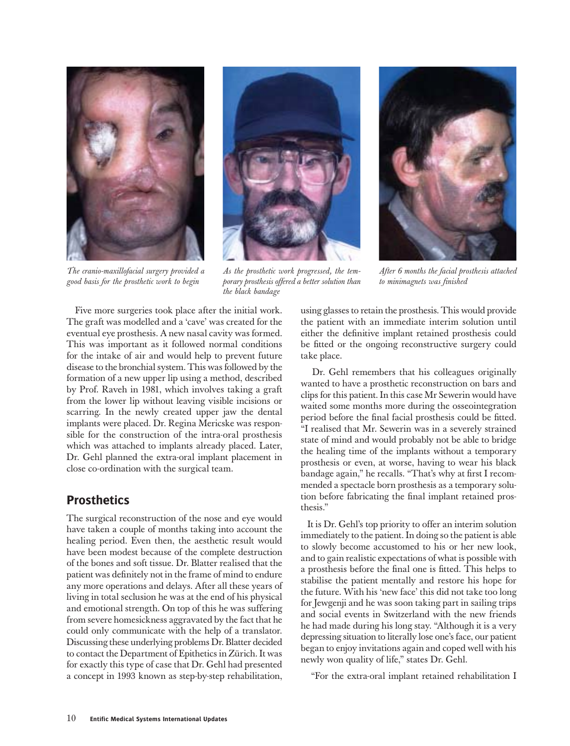





*The cranio-maxillofacial surgery provided a good basis for the prosthetic work to begin*

*As the prosthetic work progressed, the temporary prosthesis offered a better solution than the black bandage*

*After 6 months the facial prosthesis attached to minimagnets was finished*

 Five more surgeries took place after the initial work. The graft was modelled and a 'cave' was created for the eventual eye prosthesis. A new nasal cavity was formed. This was important as it followed normal conditions for the intake of air and would help to prevent future disease to the bronchial system. This was followed by the formation of a new upper lip using a method, described by Prof. Raveh in 1981, which involves taking a graft from the lower lip without leaving visible incisions or scarring. In the newly created upper jaw the dental implants were placed. Dr. Regina Mericske was responsible for the construction of the intra-oral prosthesis which was attached to implants already placed. Later, Dr. Gehl planned the extra-oral implant placement in close co-ordination with the surgical team.

### **Prosthetics**

The surgical reconstruction of the nose and eye would have taken a couple of months taking into account the healing period. Even then, the aesthetic result would have been modest because of the complete destruction of the bones and soft tissue. Dr. Blatter realised that the patient was definitely not in the frame of mind to endure any more operations and delays. After all these years of living in total seclusion he was at the end of his physical and emotional strength. On top of this he was suffering from severe homesickness aggravated by the fact that he could only communicate with the help of a translator. Discussing these underlying problems Dr. Blatter decided to contact the Department of Epithetics in Zürich. It was for exactly this type of case that Dr. Gehl had presented a concept in 1993 known as step-by-step rehabilitation,

using glasses to retain the prosthesis. This would provide the patient with an immediate interim solution until either the definitive implant retained prosthesis could be fitted or the ongoing reconstructive surgery could take place.

 Dr. Gehl remembers that his colleagues originally wanted to have a prosthetic reconstruction on bars and clips for this patient. In this case Mr Sewerin would have waited some months more during the osseointegration period before the final facial prosthesis could be fitted. "I realised that Mr. Sewerin was in a severely strained state of mind and would probably not be able to bridge the healing time of the implants without a temporary prosthesis or even, at worse, having to wear his black bandage again," he recalls. "That's why at first I recommended a spectacle born prosthesis as a temporary solution before fabricating the final implant retained prosthesis."

 It is Dr. Gehl's top priority to offer an interim solution immediately to the patient. In doing so the patient is able to slowly become accustomed to his or her new look, and to gain realistic expectations of what is possible with a prosthesis before the final one is fitted. This helps to stabilise the patient mentally and restore his hope for the future. With his 'new face' this did not take too long for Jewgenji and he was soon taking part in sailing trips and social events in Switzerland with the new friends he had made during his long stay. "Although it is a very depressing situation to literally lose one's face, our patient began to enjoy invitations again and coped well with his newly won quality of life," states Dr. Gehl.

"For the extra-oral implant retained rehabilitation I